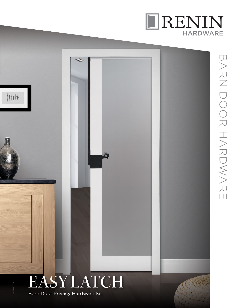